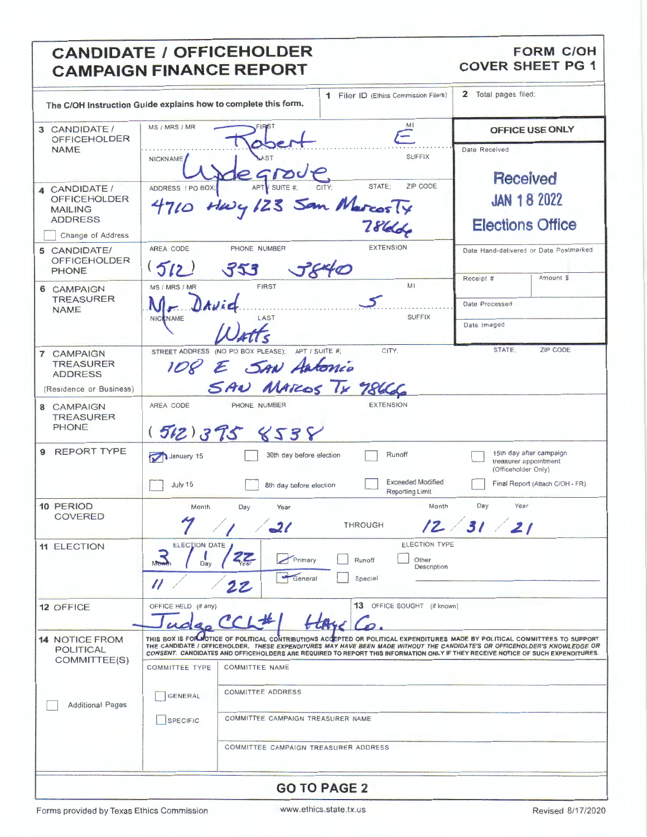# **CANDIDATE / OFFICEHOLDER CAMPAIGN FINANCE REPORT**

#### **FORM C/OH COVER SHEET PG 1**

| The C/OH Instruction Guide explains how to complete this form.                                |                                                                       |                                                                                                 | <b>1</b> Filer ID (Ethics Commission Filers)                      | 2 Total pages filed:                                                                                                                                                                                                                                                                                                                                                                          |
|-----------------------------------------------------------------------------------------------|-----------------------------------------------------------------------|-------------------------------------------------------------------------------------------------|-------------------------------------------------------------------|-----------------------------------------------------------------------------------------------------------------------------------------------------------------------------------------------------------------------------------------------------------------------------------------------------------------------------------------------------------------------------------------------|
| 3 CANDIDATE/<br><b>OFFICEHOLDER</b><br><b>NAME</b>                                            | MS / MRS / MR<br>NICKNAME                                             | AST                                                                                             | Mi<br>$=$<br><b>SUFFIX</b>                                        | OFFICE USE ONLY<br>Date Received                                                                                                                                                                                                                                                                                                                                                              |
| 4 CANDIDATE /<br><b>OFFICEHOLDER</b><br><b>MAILING</b><br><b>ADDRESS</b><br>Change of Address | ADDRESS / PO BOX;<br>4710                                             | egroup.<br>Havy 123 San MarcosTy                                                                | ZIP CODE<br>STATE;<br>784                                         | <b>Received</b><br><b>JAN 18 2022</b><br><b>Elections Office</b>                                                                                                                                                                                                                                                                                                                              |
| 5 CANDIDATE/<br><b>OFFICEHOLDER</b><br><b>PHONE</b>                                           | AREA CODE<br>(512)                                                    | PHONE NUMBER<br>353                                                                             | <b>EXTENSION</b>                                                  | Date Hand-delivered or Date Postmarked<br>Receipt #<br>Amount \$                                                                                                                                                                                                                                                                                                                              |
| 6 CAMPAIGN<br><b>TREASURER</b><br><b>NAME</b>                                                 | MS / MRS / MR<br><b>NICKNAME</b>                                      | <b>FIRST</b><br>LAST                                                                            | MI<br><b>SUFFIX</b>                                               | Date Processed<br>Date Imaged                                                                                                                                                                                                                                                                                                                                                                 |
| 7 CAMPAIGN<br><b>TREASURER</b><br><b>ADDRESS</b><br>(Residence or Business)                   |                                                                       | STREET ADDRESS (NO PO BOX PLEASE);<br>APT / SUITE #;<br>IO8 E SAN Antonio<br>SAN MAROS TX 78666 | CITY:                                                             | ZIP CODE<br>STATE:                                                                                                                                                                                                                                                                                                                                                                            |
| 8 CAMPAIGN<br><b>TREASURER</b><br><b>PHONE</b>                                                | AREA CODE                                                             | PHONE NUMBER<br>(512)375858                                                                     | <b>EXTENSION</b>                                                  |                                                                                                                                                                                                                                                                                                                                                                                               |
| <b>REPORT TYPE</b><br>9                                                                       | January 15<br>July 15                                                 | 30th day before election<br>8th day before election                                             | Runoff<br><b>Exceeded Modified</b><br>Reporting Limit             | 15th day after campaign<br>treasurer appointment<br>(Officeholder Only)<br>Final Report (Attach C/OH - FR)                                                                                                                                                                                                                                                                                    |
| 10 PERIOD<br><b>COVERED</b>                                                                   | Month                                                                 | Day<br>Year<br>$\mathcal{Q}$ l                                                                  | Month<br><b>THROUGH</b>                                           | Day<br>Year<br>12/31/21                                                                                                                                                                                                                                                                                                                                                                       |
| <b>11 ELECTION</b>                                                                            | <b>ELECTION DATE</b><br>÷<br>M <sub>on</sub><br>Day<br>$\prime\prime$ | Primary<br>General<br>22                                                                        | <b>ELECTION TYPE</b><br>Runoff<br>Other<br>Description<br>Special |                                                                                                                                                                                                                                                                                                                                                                                               |
| 12 OFFICE                                                                                     | OFFICE HELD (if any)                                                  | CCL#                                                                                            | 13 OFFICE SOUGHT (if known)                                       |                                                                                                                                                                                                                                                                                                                                                                                               |
| <b>14 NOTICE FROM</b><br><b>POLITICAL</b><br>COMMITTEE(S)                                     | <b>COMMITTEE TYPE</b>                                                 | <b>COMMITTEE NAME</b>                                                                           |                                                                   | THIS BOX IS FOR MOTICE OF POLITICAL CONTRIBUTIONS ACCEPTED OR POLITICAL EXPENDITURES MADE BY POLITICAL COMMITTEES TO SUPPORT<br>THE CANDIDATE / OFFICEHOLDER. THESE EXPENDITURES MAY HAVE BEEN MADE WITHOUT THE CANDIDATE'S OR OFFICEHOLDER'S KNOWLEDGE OR<br>CONSENT. CANDIDATES AND OFFICEHOLDERS ARE REQUIRED TO REPORT THIS INFORMATION ONLY IF THEY RECEIVE NOTICE OF SUCH EXPENDITURES. |
| <b>Additional Pages</b>                                                                       | GENERAL<br><b>SPECIFIC</b>                                            | COMMITTEE ADDRESS<br>COMMITTEE CAMPAIGN TREASURER NAME                                          |                                                                   |                                                                                                                                                                                                                                                                                                                                                                                               |
|                                                                                               |                                                                       | COMMITTEE CAMPAIGN TREASURER ADDRESS                                                            |                                                                   |                                                                                                                                                                                                                                                                                                                                                                                               |
|                                                                                               |                                                                       |                                                                                                 | <b>GO TO PAGE 2</b>                                               |                                                                                                                                                                                                                                                                                                                                                                                               |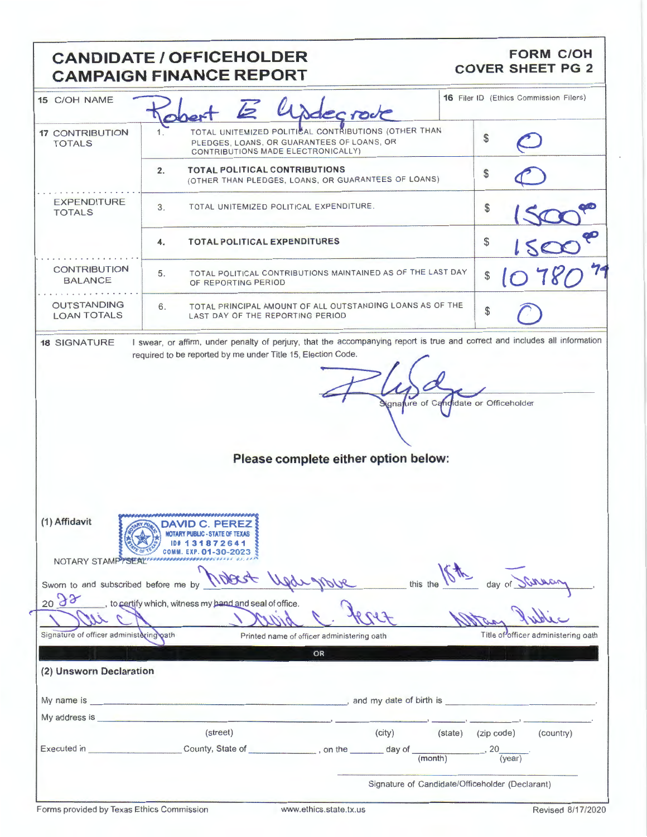# **CANDIDATE / OFFICEHOLDER CAMPAIGN FINANCE REPORT**

### **FORM C/OH COVER SHEET PG 2**

| 15 C/OH NAME                                                                                                                                                                                                                   |                                                                                                                                          | Usdecrode                                                   |                                                 | <b>16 Filer ID (Ethics Commission Filers)</b> |
|--------------------------------------------------------------------------------------------------------------------------------------------------------------------------------------------------------------------------------|------------------------------------------------------------------------------------------------------------------------------------------|-------------------------------------------------------------|-------------------------------------------------|-----------------------------------------------|
| <b>17 CONTRIBUTION</b><br><b>TOTALS</b>                                                                                                                                                                                        | TOTAL UNITEMIZED POLITICAL CONTRIBUTIONS (OTHER THAN<br>PLEDGES, LOANS, OR GUARANTEES OF LOANS, OR<br>CONTRIBUTIONS MADE ELECTRONICALLY) |                                                             |                                                 |                                               |
|                                                                                                                                                                                                                                | <b>TOTAL POLITICAL CONTRIBUTIONS</b><br>2.                                                                                               | (OTHER THAN PLEDGES, LOANS, OR GUARANTEES OF LOANS)         | \$                                              |                                               |
| <b>EXPENDITURE</b><br><b>TOTALS</b>                                                                                                                                                                                            | TOTAL UNITEMIZED POLITICAL EXPENDITURE.<br>3.                                                                                            |                                                             |                                                 |                                               |
|                                                                                                                                                                                                                                | <b>TOTAL POLITICAL EXPENDITURES</b><br>4.                                                                                                | \$                                                          |                                                 |                                               |
| <b>CONTRIBUTION</b><br><b>BALANCE</b>                                                                                                                                                                                          | 5.<br>OF REPORTING PERIOD                                                                                                                | TOTAL POLITICAL CONTRIBUTIONS MAINTAINED AS OF THE LAST DAY | \$                                              |                                               |
| <b>OUTSTANDING</b><br><b>LOAN TOTALS</b>                                                                                                                                                                                       | 6.<br>LAST DAY OF THE REPORTING PERIOD                                                                                                   | TOTAL PRINCIPAL AMOUNT OF ALL OUTSTANDING LOANS AS OF THE   | \$                                              |                                               |
|                                                                                                                                                                                                                                |                                                                                                                                          | Please complete either option below:                        |                                                 |                                               |
| (1) Affidavit                                                                                                                                                                                                                  | EXP. 01-30-2023<br>NOTARY STAMP TSEAL MANAGEMENT AS ICA                                                                                  |                                                             |                                                 |                                               |
| Sworn to and subscribed before me by                                                                                                                                                                                           |                                                                                                                                          | this the                                                    |                                                 |                                               |
| 2098                                                                                                                                                                                                                           | to certify which, witness my hand and seal of office.                                                                                    |                                                             |                                                 |                                               |
| Signature of officer administering oath                                                                                                                                                                                        |                                                                                                                                          | Printed name of officer administering oath                  |                                                 | Title of officer administering oath           |
|                                                                                                                                                                                                                                |                                                                                                                                          | OR                                                          |                                                 |                                               |
| (2) Unsworn Declaration                                                                                                                                                                                                        |                                                                                                                                          |                                                             |                                                 |                                               |
|                                                                                                                                                                                                                                |                                                                                                                                          |                                                             |                                                 |                                               |
| My address is service and the service of the service of the service of the service of the service of the service of the service of the service of the service of the service of the service of the service of the service of t |                                                                                                                                          |                                                             |                                                 |                                               |
|                                                                                                                                                                                                                                | (street)                                                                                                                                 | (city)                                                      | (state) (zip code)                              | (country)                                     |
|                                                                                                                                                                                                                                |                                                                                                                                          |                                                             |                                                 | $-$ , 20 $\frac{1}{(year)}$                   |
|                                                                                                                                                                                                                                |                                                                                                                                          |                                                             | Signature of Candidate/Officeholder (Declarant) |                                               |

e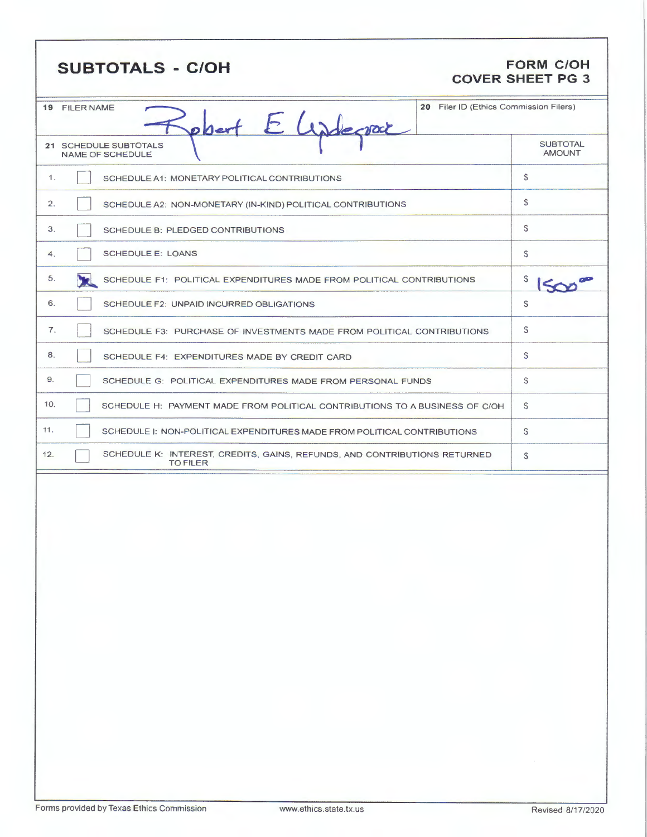| <b>FORM C/OH</b><br><b>SUBTOTALS - C/OH</b><br><b>COVER SHEET PG 3</b>                              |                                        |  |  |  |
|-----------------------------------------------------------------------------------------------------|----------------------------------------|--|--|--|
| 19 FILER NAME<br>poert E Wadecrac                                                                   | 20 Filer ID (Ethics Commission Filers) |  |  |  |
| 21 SCHEDULE SUBTOTALS<br><b>NAME OF SCHEDULE</b>                                                    | <b>SUBTOTAL</b><br><b>AMOUNT</b>       |  |  |  |
| 1.<br>SCHEDULE A1: MONETARY POLITICAL CONTRIBUTIONS                                                 | \$                                     |  |  |  |
| 2.<br>SCHEDULE A2: NON-MONETARY (IN-KIND) POLITICAL CONTRIBUTIONS                                   | S                                      |  |  |  |
| 3.<br>SCHEDULE B: PLEDGED CONTRIBUTIONS                                                             | S.                                     |  |  |  |
| <b>SCHEDULE E: LOANS</b><br>4.                                                                      | S                                      |  |  |  |
| 5.<br>SCHEDULE F1: POLITICAL EXPENDITURES MADE FROM POLITICAL CONTRIBUTIONS                         | S                                      |  |  |  |
| 6.<br>SCHEDULE F2: UNPAID INCURRED OBLIGATIONS                                                      | S                                      |  |  |  |
| 7.<br>SCHEDULE F3: PURCHASE OF INVESTMENTS MADE FROM POLITICAL CONTRIBUTIONS                        | S                                      |  |  |  |
| 8.<br>SCHEDULE F4: EXPENDITURES MADE BY CREDIT CARD                                                 | S                                      |  |  |  |
| 9.<br>SCHEDULE G: POLITICAL EXPENDITURES MADE FROM PERSONAL FUNDS                                   | \$                                     |  |  |  |
| 10.<br>SCHEDULE H: PAYMENT MADE FROM POLITICAL CONTRIBUTIONS TO A BUSINESS OF C/OH                  | S                                      |  |  |  |
| 11.<br>SCHEDULE I: NON-POLITICAL EXPENDITURES MADE FROM POLITICAL CONTRIBUTIONS                     | S.                                     |  |  |  |
| 12.<br>SCHEDULE K: INTEREST, CREDITS, GAINS, REFUNDS, AND CONTRIBUTIONS RETURNED<br><b>TO FILER</b> | \$                                     |  |  |  |
|                                                                                                     |                                        |  |  |  |